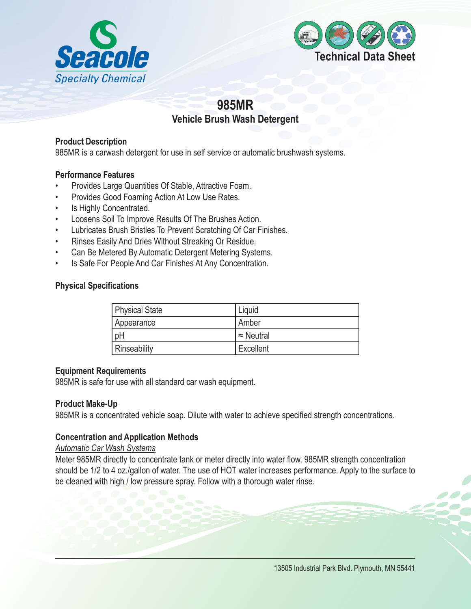



# **985MR Vehicle Brush Wash Detergent**

## **Product Description**

985MR is a carwash detergent for use in self service or automatic brushwash systems.

#### **Performance Features**

- Provides Large Quantities Of Stable, Attractive Foam.
- Provides Good Foaming Action At Low Use Rates.
- Is Highly Concentrated.
- Loosens Soil To Improve Results Of The Brushes Action.
- Lubricates Brush Bristles To Prevent Scratching Of Car Finishes.
- • Rinses Easily And Dries Without Streaking Or Residue.
- Can Be Metered By Automatic Detergent Metering Systems.
- Is Safe For People And Car Finishes At Any Concentration.

#### **Physical Specifications**

| Physical State | Liquid            |
|----------------|-------------------|
| Appearance     | Amber             |
| pH             | $\approx$ Neutral |
| Rinseability   | Excellent         |

## **Equipment Requirements**

985MR is safe for use with all standard car wash equipment.

#### **Product Make-Up**

985MR is a concentrated vehicle soap. Dilute with water to achieve specified strength concentrations.

## **Concentration and Application Methods**

#### *Automatic Car Wash Systems*

Meter 985MR directly to concentrate tank or meter directly into water flow. 985MR strength concentration should be 1/2 to 4 oz./gallon of water. The use of HOT water increases performance. Apply to the surface to be cleaned with high / low pressure spray. Follow with a thorough water rinse.